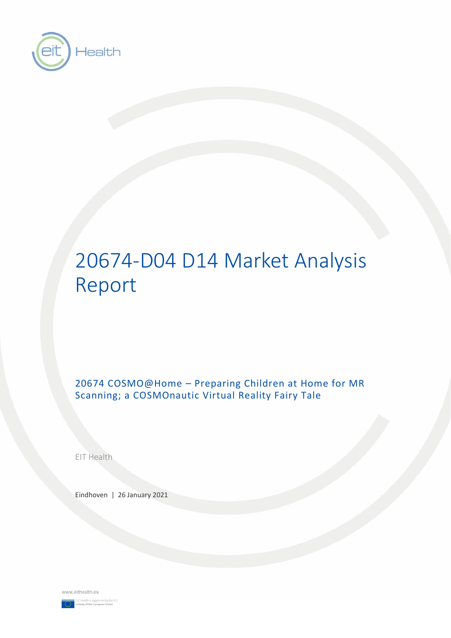

# 20674-D04 D14 Market Analysis Report

20674 COSMO@Home – Preparing Children at Home for MR Scanning; a COSMOnautic Virtual Reality Fairy Tale

EIT Health

Eindhoven | 26 January 2021

www.eithealth.eu

EIT Health is supported by the<br>a body of the European Union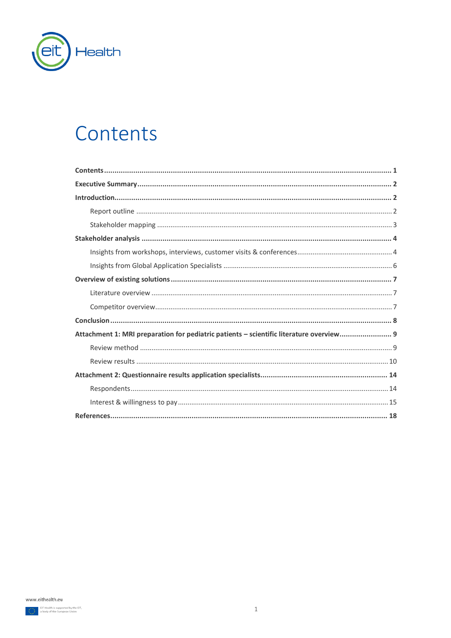

## <span id="page-1-0"></span>Contents

| Attachment 1: MRI preparation for pediatric patients - scientific literature overview 9 |
|-----------------------------------------------------------------------------------------|
|                                                                                         |
|                                                                                         |
|                                                                                         |
|                                                                                         |
|                                                                                         |
|                                                                                         |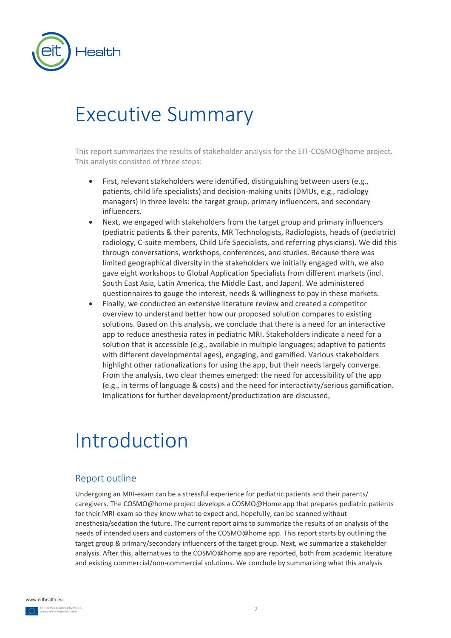

# <span id="page-2-0"></span>Executive Summary

This report summarizes the results of stakeholder analysis for the EIT-COSMO@home project. This analysis consisted of three steps:

- First, relevant stakeholders were identified, distinguishing between users (e.g., patients, child life specialists) and decision-making units (DMUs, e.g., radiology managers) in three levels: the target group, primary influencers, and secondary influencers.
- Next, we engaged with stakeholders from the target group and primary influencers (pediatric patients & their parents, MR Technologists, Radiologists, heads of (pediatric) radiology, C-suite members, Child Life Specialists, and referring physicians). We did this through conversations, workshops, conferences, and studies. Because there was limited geographical diversity in the stakeholders we initially engaged with, we also gave eight workshops to Global Application Specialists from different markets (incl. South East Asia, Latin America, the Middle East, and Japan). We administered questionnaires to gauge the interest, needs & willingness to pay in these markets.
- Finally, we conducted an extensive literature review and created a competitor overview to understand better how our proposed solution compares to existing solutions. Based on this analysis, we conclude that there is a need for an interactive app to reduce anesthesia rates in pediatric MRI. Stakeholders indicate a need for a solution that is accessible (e.g., available in multiple languages; adaptive to patients with different developmental ages), engaging, and gamified. Various stakeholders highlight other rationalizations for using the app, but their needs largely converge. From the analysis, two clear themes emerged: the need for accessibility of the app (e.g., in terms of language & costs) and the need for interactivity/serious gamification. Implications for further development/productization are discussed,

# <span id="page-2-1"></span>Introduction

## <span id="page-2-2"></span>Report outline

Undergoing an MRI-exam can be a stressful experience for pediatric patients and their parents/ caregivers. The COSMO@home project develops a COSMO@Home app that prepares pediatric patients for their MRI-exam so they know what to expect and, hopefully, can be scanned without anesthesia/sedation the future. The current report aims to summarize the results of an analysis of the needs of intended users and customers of the COSMO@home app. This report starts by outlining the target group & primary/secondary influencers of the target group. Next, we summarize a stakeholder analysis. After this, alternatives to the COSMO@home app are reported, both from academic literature and existing commercial/non-commercial solutions. We conclude by summarizing what this analysis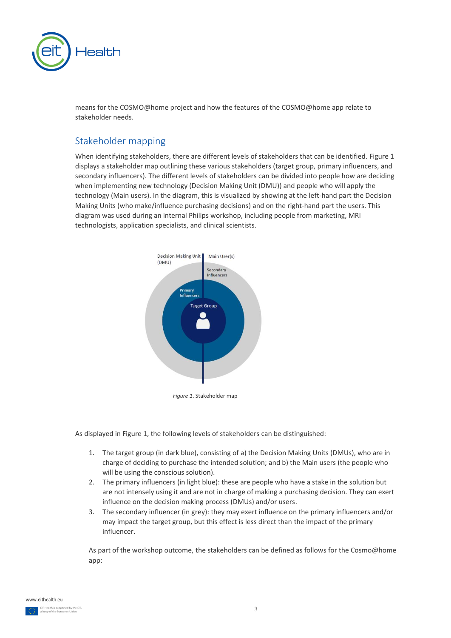

means for the COSMO@home project and how the features of the COSMO@home app relate to stakeholder needs.

## <span id="page-3-0"></span>Stakeholder mapping

When identifying stakeholders, there are different levels of stakeholders that can be identified. Figure 1 displays a stakeholder map outlining these various stakeholders (target group, primary influencers, and secondary influencers). The different levels of stakeholders can be divided into people how are deciding when implementing new technology (Decision Making Unit (DMU)) and people who will apply the technology (Main users). In the diagram, this is visualized by showing at the left-hand part the Decision Making Units (who make/influence purchasing decisions) and on the right-hand part the users. This diagram was used during an internal Philips workshop, including people from marketing, MRI technologists, application specialists, and clinical scientists.



*Figure 1*. Stakeholder map

As displayed in Figure 1, the following levels of stakeholders can be distinguished:

- 1. The target group (in dark blue), consisting of a) the Decision Making Units (DMUs), who are in charge of deciding to purchase the intended solution; and b) the Main users (the people who will be using the conscious solution).
- 2. The primary influencers (in light blue): these are people who have a stake in the solution but are not intensely using it and are not in charge of making a purchasing decision. They can exert influence on the decision making process (DMUs) and/or users.
- 3. The secondary influencer (in grey): they may exert influence on the primary influencers and/or may impact the target group, but this effect is less direct than the impact of the primary influencer.

As part of the workshop outcome, the stakeholders can be defined as follows for the Cosmo@home app: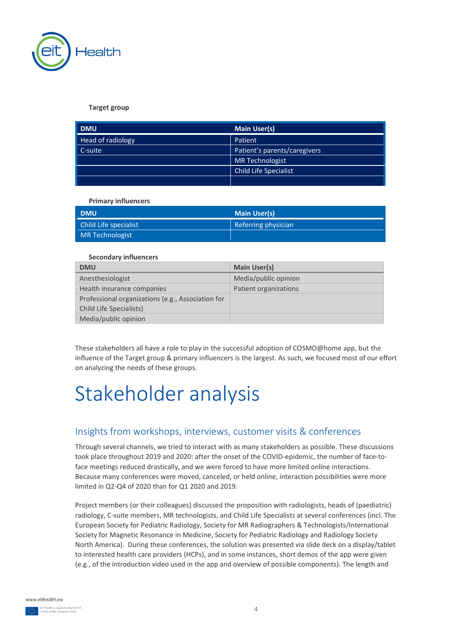

**Target group**

| <b>DMU</b>        | <b>Main User(s)</b>          |
|-------------------|------------------------------|
| Head of radiology | Patient                      |
| C-suite           | Patient's parents/caregivers |
|                   | <b>MR Technologist</b>       |
|                   | Child Life Specialist        |
|                   |                              |

**Primary influencers**

| <b>DMU</b>             | <b>Main User(s)</b> |
|------------------------|---------------------|
| Child Life specialist  | Referring physician |
| <b>MR Technologist</b> |                     |

#### **Secondary influencers**

| <b>DMU</b>                                        | <b>Main User(s)</b>   |
|---------------------------------------------------|-----------------------|
| Anesthesiologist                                  | Media/public opinion  |
| Health insurance companies                        | Patient organizations |
| Professional organizations (e.g., Association for |                       |
| Child Life Specialists)                           |                       |
| Media/public opinion                              |                       |

These stakeholders all have a role to play in the successful adoption of COSMO@home app, but the influence of the Target group & primary influencers is the largest. As such, we focused most of our effort on analyzing the needs of these groups.

# <span id="page-4-0"></span>Stakeholder analysis

## <span id="page-4-1"></span>Insights from workshops, interviews, customer visits & conferences

Through several channels, we tried to interact with as many stakeholders as possible. These discussions took place throughout 2019 and 2020: after the onset of the COVID-epidemic, the number of face-toface meetings reduced drastically, and we were forced to have more limited online interactions. Because many conferences were moved, canceled, or held online, interaction possibilities were more limited in Q2-Q4 of 2020 than for Q1 2020 and 2019.

Project members (or their colleagues) discussed the proposition with radiologists, heads of (paediatric) radiology, C-suite members, MR technologists, and Child Life Specialists at several conferences (incl. The European Society for Pediatric Radiology, Society for MR Radiographers & Technologists/International Society for Magnetic Resonance in Medicine, Society for Pediatric Radiology and Radiology Society North America). During these conferences, the solution was presented via slide deck on a display/tablet to interested health care providers (HCPs), and in some instances, short demos of the app were given (e.g., of the introduction video used in the app and overview of possible components). The length and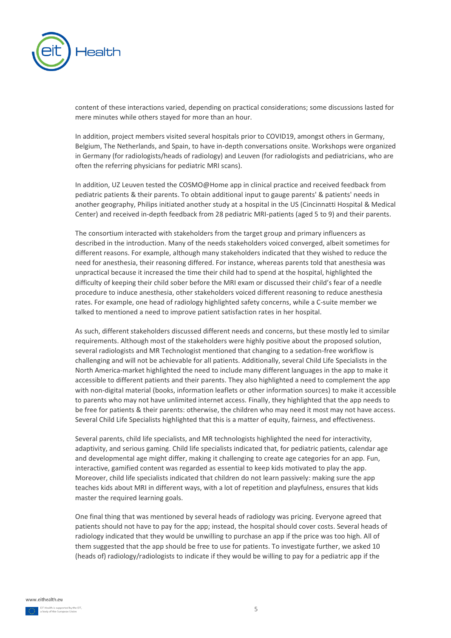

content of these interactions varied, depending on practical considerations; some discussions lasted for mere minutes while others stayed for more than an hour.

In addition, project members visited several hospitals prior to COVID19, amongst others in Germany, Belgium, The Netherlands, and Spain, to have in-depth conversations onsite. Workshops were organized in Germany (for radiologists/heads of radiology) and Leuven (for radiologists and pediatricians, who are often the referring physicians for pediatric MRI scans).

In addition, UZ Leuven tested the COSMO@Home app in clinical practice and received feedback from pediatric patients & their parents. To obtain additional input to gauge parents' & patients' needs in another geography, Philips initiated another study at a hospital in the US (Cincinnatti Hospital & Medical Center) and received in-depth feedback from 28 pediatric MRI-patients (aged 5 to 9) and their parents.

The consortium interacted with stakeholders from the target group and primary influencers as described in the introduction. Many of the needs stakeholders voiced converged, albeit sometimes for different reasons. For example, although many stakeholders indicated that they wished to reduce the need for anesthesia, their reasoning differed. For instance, whereas parents told that anesthesia was unpractical because it increased the time their child had to spend at the hospital, highlighted the difficulty of keeping their child sober before the MRI exam or discussed their child's fear of a needle procedure to induce anesthesia, other stakeholders voiced different reasoning to reduce anesthesia rates. For example, one head of radiology highlighted safety concerns, while a C-suite member we talked to mentioned a need to improve patient satisfaction rates in her hospital.

As such, different stakeholders discussed different needs and concerns, but these mostly led to similar requirements. Although most of the stakeholders were highly positive about the proposed solution, several radiologists and MR Technologist mentioned that changing to a sedation-free workflow is challenging and will not be achievable for all patients. Additionally, several Child Life Specialists in the North America-market highlighted the need to include many different languages in the app to make it accessible to different patients and their parents. They also highlighted a need to complement the app with non-digital material (books, information leaflets or other information sources) to make it accessible to parents who may not have unlimited internet access. Finally, they highlighted that the app needs to be free for patients & their parents: otherwise, the children who may need it most may not have access. Several Child Life Specialists highlighted that this is a matter of equity, fairness, and effectiveness.

Several parents, child life specialists, and MR technologists highlighted the need for interactivity, adaptivity, and serious gaming. Child life specialists indicated that, for pediatric patients, calendar age and developmental age might differ, making it challenging to create age categories for an app. Fun, interactive, gamified content was regarded as essential to keep kids motivated to play the app. Moreover, child life specialists indicated that children do not learn passively: making sure the app teaches kids about MRI in different ways, with a lot of repetition and playfulness, ensures that kids master the required learning goals.

One final thing that was mentioned by several heads of radiology was pricing. Everyone agreed that patients should not have to pay for the app; instead, the hospital should cover costs. Several heads of radiology indicated that they would be unwilling to purchase an app if the price was too high. All of them suggested that the app should be free to use for patients. To investigate further, we asked 10 (heads of) radiology/radiologists to indicate if they would be willing to pay for a pediatric app if the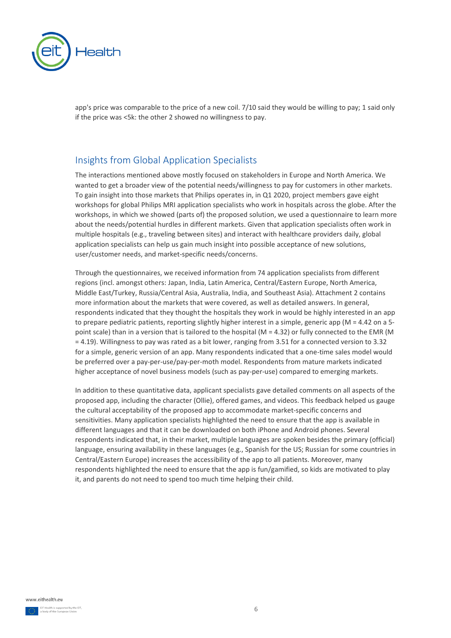

app's price was comparable to the price of a new coil. 7/10 said they would be willing to pay; 1 said only if the price was <5k: the other 2 showed no willingness to pay.

## <span id="page-6-0"></span>Insights from Global Application Specialists

The interactions mentioned above mostly focused on stakeholders in Europe and North America. We wanted to get a broader view of the potential needs/willingness to pay for customers in other markets. To gain insight into those markets that Philips operates in, in Q1 2020, project members gave eight workshops for global Philips MRI application specialists who work in hospitals across the globe. After the workshops, in which we showed (parts of) the proposed solution, we used a questionnaire to learn more about the needs/potential hurdles in different markets. Given that application specialists often work in multiple hospitals (e.g., traveling between sites) and interact with healthcare providers daily, global application specialists can help us gain much insight into possible acceptance of new solutions, user/customer needs, and market-specific needs/concerns.

Through the questionnaires, we received information from 74 application specialists from different regions (incl. amongst others: Japan, India, Latin America, Central/Eastern Europe, North America, Middle East/Turkey, Russia/Central Asia, Australia, India, and Southeast Asia). Attachment 2 contains more information about the markets that were covered, as well as detailed answers. In general, respondents indicated that they thought the hospitals they work in would be highly interested in an app to prepare pediatric patients, reporting slightly higher interest in a simple, generic app (M = 4.42 on a 5 point scale) than in a version that is tailored to the hospital (M = 4.32) or fully connected to the EMR (M = 4.19). Willingness to pay was rated as a bit lower, ranging from 3.51 for a connected version to 3.32 for a simple, generic version of an app. Many respondents indicated that a one-time sales model would be preferred over a pay-per-use/pay-per-moth model. Respondents from mature markets indicated higher acceptance of novel business models (such as pay-per-use) compared to emerging markets.

In addition to these quantitative data, applicant specialists gave detailed comments on all aspects of the proposed app, including the character (Ollie), offered games, and videos. This feedback helped us gauge the cultural acceptability of the proposed app to accommodate market-specific concerns and sensitivities. Many application specialists highlighted the need to ensure that the app is available in different languages and that it can be downloaded on both iPhone and Android phones. Several respondents indicated that, in their market, multiple languages are spoken besides the primary (official) language, ensuring availability in these languages (e.g., Spanish for the US; Russian for some countries in Central/Eastern Europe) increases the accessibility of the app to all patients. Moreover, many respondents highlighted the need to ensure that the app is fun/gamified, so kids are motivated to play it, and parents do not need to spend too much time helping their child.

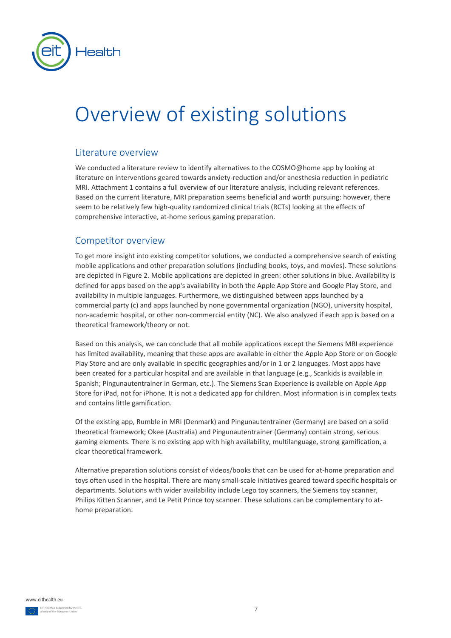

# <span id="page-7-0"></span>Overview of existing solutions

### <span id="page-7-1"></span>Literature overview

We conducted a literature review to identify alternatives to the COSMO@home app by looking at literature on interventions geared towards anxiety-reduction and/or anesthesia reduction in pediatric MRI. Attachment 1 contains a full overview of our literature analysis, including relevant references. Based on the current literature, MRI preparation seems beneficial and worth pursuing: however, there seem to be relatively few high-quality randomized clinical trials (RCTs) looking at the effects of comprehensive interactive, at-home serious gaming preparation.

### <span id="page-7-2"></span>Competitor overview

To get more insight into existing competitor solutions, we conducted a comprehensive search of existing mobile applications and other preparation solutions (including books, toys, and movies). These solutions are depicted in Figure 2. Mobile applications are depicted in green: other solutions in blue. Availability is defined for apps based on the app's availability in both the Apple App Store and Google Play Store, and availability in multiple languages. Furthermore, we distinguished between apps launched by a commercial party (c) and apps launched by none governmental organization (NGO), university hospital, non-academic hospital, or other non-commercial entity (NC). We also analyzed if each app is based on a theoretical framework/theory or not.

Based on this analysis, we can conclude that all mobile applications except the Siemens MRI experience has limited availability, meaning that these apps are available in either the Apple App Store or on Google Play Store and are only available in specific geographies and/or in 1 or 2 languages. Most apps have been created for a particular hospital and are available in that language (e.g., Scankids is available in Spanish; Pingunautentrainer in German, etc.). The Siemens Scan Experience is available on Apple App Store for iPad, not for iPhone. It is not a dedicated app for children. Most information is in complex texts and contains little gamification.

Of the existing app, Rumble in MRI (Denmark) and Pingunautentrainer (Germany) are based on a solid theoretical framework; Okee (Australia) and Pingunautentrainer (Germany) contain strong, serious gaming elements. There is no existing app with high availability, multilanguage, strong gamification, a clear theoretical framework.

Alternative preparation solutions consist of videos/books that can be used for at-home preparation and toys often used in the hospital. There are many small-scale initiatives geared toward specific hospitals or departments. Solutions with wider availability include Lego toy scanners, the Siemens toy scanner, Philips Kitten Scanner, and Le Petit Prince toy scanner. These solutions can be complementary to athome preparation.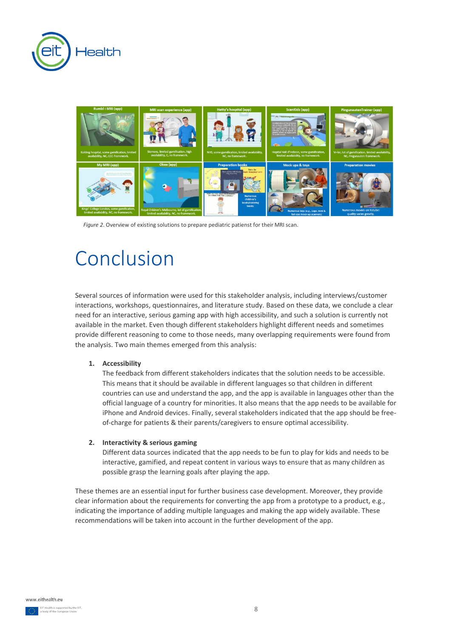



*Figure 2*. Overview of existing solutions to prepare pediatric patienst for their MRI scan.

## <span id="page-8-0"></span>Conclusion

Several sources of information were used for this stakeholder analysis, including interviews/customer interactions, workshops, questionnaires, and literature study. Based on these data, we conclude a clear need for an interactive, serious gaming app with high accessibility, and such a solution is currently not available in the market. Even though different stakeholders highlight different needs and sometimes provide different reasoning to come to those needs, many overlapping requirements were found from the analysis. Two main themes emerged from this analysis:

#### **1. Accessibility**

The feedback from different stakeholders indicates that the solution needs to be accessible. This means that it should be available in different languages so that children in different countries can use and understand the app, and the app is available in languages other than the official language of a country for minorities. It also means that the app needs to be available for iPhone and Android devices. Finally, several stakeholders indicated that the app should be freeof-charge for patients & their parents/caregivers to ensure optimal accessibility.

#### **2. Interactivity & serious gaming**

Different data sources indicated that the app needs to be fun to play for kids and needs to be interactive, gamified, and repeat content in various ways to ensure that as many children as possible grasp the learning goals after playing the app.

These themes are an essential input for further business case development. Moreover, they provide clear information about the requirements for converting the app from a prototype to a product, e.g., indicating the importance of adding multiple languages and making the app widely available. These recommendations will be taken into account in the further development of the app.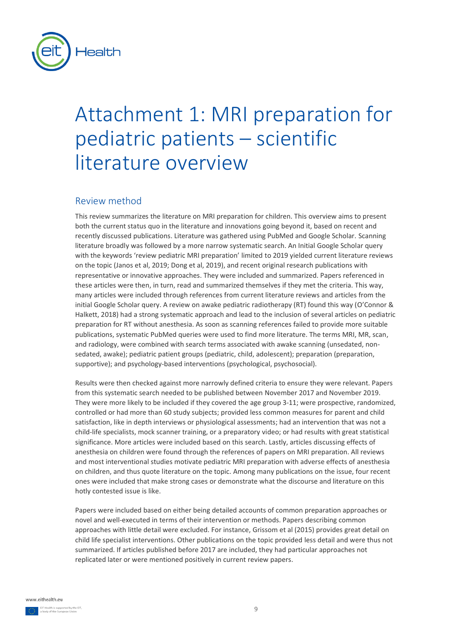

# <span id="page-9-0"></span>Attachment 1: MRI preparation for pediatric patients – scientific literature overview

### <span id="page-9-1"></span>Review method

This review summarizes the literature on MRI preparation for children. This overview aims to present both the current status quo in the literature and innovations going beyond it, based on recent and recently discussed publications. Literature was gathered using PubMed and Google Scholar. Scanning literature broadly was followed by a more narrow systematic search. An Initial Google Scholar query with the keywords 'review pediatric MRI preparation' limited to 2019 yielded current literature reviews on the topic (Janos et al, 2019; Dong et al, 2019), and recent original research publications with representative or innovative approaches. They were included and summarized. Papers referenced in these articles were then, in turn, read and summarized themselves if they met the criteria. This way, many articles were included through references from current literature reviews and articles from the initial Google Scholar query. A review on awake pediatric radiotherapy (RT) found this way (O'Connor & Halkett, 2018) had a strong systematic approach and lead to the inclusion of several articles on pediatric preparation for RT without anesthesia. As soon as scanning references failed to provide more suitable publications, systematic PubMed queries were used to find more literature. The terms MRI, MR, scan, and radiology, were combined with search terms associated with awake scanning (unsedated, nonsedated, awake); pediatric patient groups (pediatric, child, adolescent); preparation (preparation, supportive); and psychology-based interventions (psychological, psychosocial).

Results were then checked against more narrowly defined criteria to ensure they were relevant. Papers from this systematic search needed to be published between November 2017 and November 2019. They were more likely to be included if they covered the age group 3-11; were prospective, randomized, controlled or had more than 60 study subjects; provided less common measures for parent and child satisfaction, like in depth interviews or physiological assessments; had an intervention that was not a child-life specialists, mock scanner training, or a preparatory video; or had results with great statistical significance. More articles were included based on this search. Lastly, articles discussing effects of anesthesia on children were found through the references of papers on MRI preparation. All reviews and most interventional studies motivate pediatric MRI preparation with adverse effects of anesthesia on children, and thus quote literature on the topic. Among many publications on the issue, four recent ones were included that make strong cases or demonstrate what the discourse and literature on this hotly contested issue is like.

Papers were included based on either being detailed accounts of common preparation approaches or novel and well-executed in terms of their intervention or methods. Papers describing common approaches with little detail were excluded. For instance, Grissom et al (2015) provides great detail on child life specialist interventions. Other publications on the topic provided less detail and were thus not summarized. If articles published before 2017 are included, they had particular approaches not replicated later or were mentioned positively in current review papers.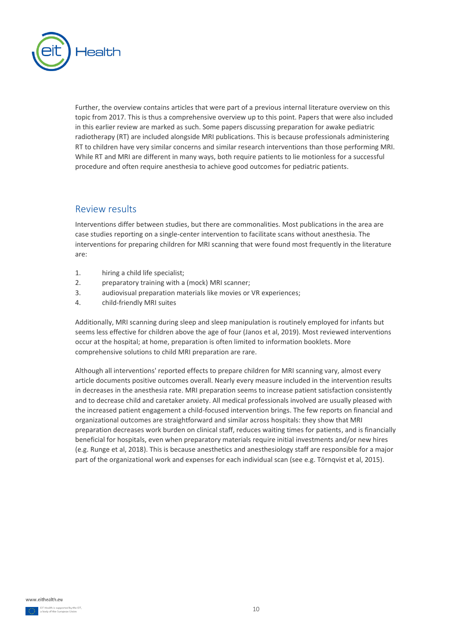

Further, the overview contains articles that were part of a previous internal literature overview on this topic from 2017. This is thus a comprehensive overview up to this point. Papers that were also included in this earlier review are marked as such. Some papers discussing preparation for awake pediatric radiotherapy (RT) are included alongside MRI publications. This is because professionals administering RT to children have very similar concerns and similar research interventions than those performing MRI. While RT and MRI are different in many ways, both require patients to lie motionless for a successful procedure and often require anesthesia to achieve good outcomes for pediatric patients.

### <span id="page-10-0"></span>Review results

Interventions differ between studies, but there are commonalities. Most publications in the area are case studies reporting on a single-center intervention to facilitate scans without anesthesia. The interventions for preparing children for MRI scanning that were found most frequently in the literature are:

- 1. hiring a child life specialist;
- 2. preparatory training with a (mock) MRI scanner;
- 3. audiovisual preparation materials like movies or VR experiences;
- 4. child-friendly MRI suites

Additionally, MRI scanning during sleep and sleep manipulation is routinely employed for infants but seems less effective for children above the age of four (Janos et al, 2019). Most reviewed interventions occur at the hospital; at home, preparation is often limited to information booklets. More comprehensive solutions to child MRI preparation are rare.

Although all interventions' reported effects to prepare children for MRI scanning vary, almost every article documents positive outcomes overall. Nearly every measure included in the intervention results in decreases in the anesthesia rate. MRI preparation seems to increase patient satisfaction consistently and to decrease child and caretaker anxiety. All medical professionals involved are usually pleased with the increased patient engagement a child-focused intervention brings. The few reports on financial and organizational outcomes are straightforward and similar across hospitals: they show that MRI preparation decreases work burden on clinical staff, reduces waiting times for patients, and is financially beneficial for hospitals, even when preparatory materials require initial investments and/or new hires (e.g. Runge et al, 2018). This is because anesthetics and anesthesiology staff are responsible for a major part of the organizational work and expenses for each individual scan (see e.g. Törnqvist et al, 2015).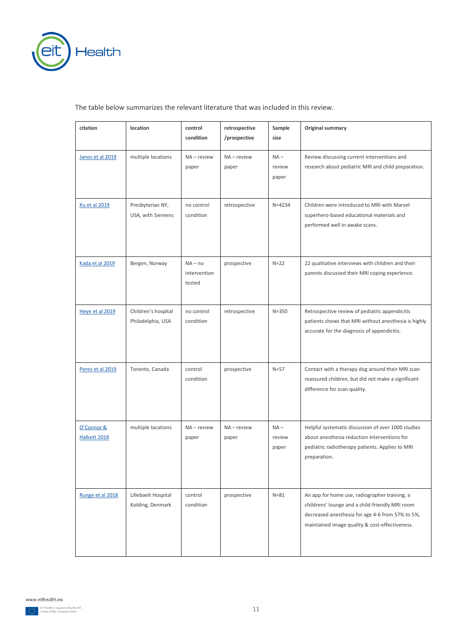

#### The table below summarizes the relevant literature that was included in this review.

| citation                   | location                                 | control<br>condition                | retrospective<br>/prospective | Sample<br>size            | Original summary                                                                                                                                                                                       |
|----------------------------|------------------------------------------|-------------------------------------|-------------------------------|---------------------------|--------------------------------------------------------------------------------------------------------------------------------------------------------------------------------------------------------|
| Janos et al 2019           | multiple locations                       | $NA$ – review<br>paper              | NA - review<br>paper          | $NA -$<br>review<br>paper | Review discussing current interventions and<br>research about pediatric MRI and child preparation.                                                                                                     |
| Xu et al 2019              | Presbyterian NY,<br>USA, with Siemens    | no control<br>condition             | retrospective                 | $N = 4234$                | Children were introduced to MRI with Marvel<br>superhero-based educational materials and<br>performed well in awake scans.                                                                             |
| Kada et al 2019            | Bergen, Norway                           | $NA - no$<br>intervention<br>tested | prospective                   | $N=22$                    | 22 qualitative interviews with children and their<br>parents discussed their MRI coping experience.                                                                                                    |
| Heve et al 2019            | Children's hospital<br>Philadelphia, USA | no control<br>condition             | retrospective                 | $N = 350$                 | Retrospective review of pediatric appendicitis<br>patients shows that MRI without anesthesia is highly<br>accurate for the diagnosis of appendicitis.                                                  |
| Perez et al 2019           | Toronto, Canada                          | control<br>condition                | prospective                   | $N=57$                    | Contact with a therapy dog around their MRI scan<br>reassured children, but did not make a significant<br>difference for scan quality.                                                                 |
| O'Connor &<br>Halkett 2018 | multiple locations                       | $NA$ – review<br>paper              | $NA$ – review<br>paper        | $NA -$<br>review<br>paper | Helpful systematic discussion of over 1000 studies<br>about anesthesia reduction interventions for<br>pediatric radiotherapy patients. Applies to MRI<br>preparation.                                  |
| Runge et al 2018           | Lillebaelt Hospital<br>Kolding, Denmark  | control<br>condition                | prospective                   | $N = 81$                  | An app for home use, radiographer training, a<br>childrens' lounge and a child-friendly MRI room<br>decreased anesthesia for age 4-6 from 57% to 5%,<br>maintained image quality & cost-effectiveness. |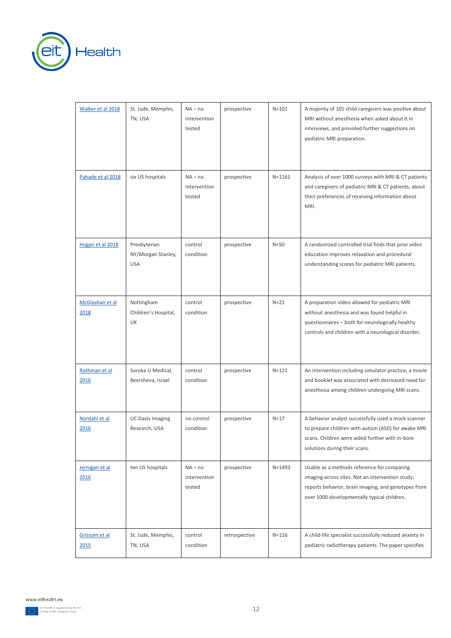

| Walker et al 2018       | St. Jude, Memphis,<br>TN, USA                    | $NA - no$<br>intervention<br>tested | prospective   | $N = 101$  | A majority of 101 child caregivers was positive about<br>MRI without anesthesia when asked about it in<br>interviews, and provided further suggestions on<br>pediatric MRI preparation.                 |
|-------------------------|--------------------------------------------------|-------------------------------------|---------------|------------|---------------------------------------------------------------------------------------------------------------------------------------------------------------------------------------------------------|
| Pahade et al 2018       | six US hospitals                                 | $NA - no$<br>intervention<br>tested | prospective   | $N = 1161$ | Analysis of over 1000 surveys with MRI & CT patients<br>and caregivers of pediatric MRI & CT patients, about<br>their preferences of receiving information about<br>MRI.                                |
| Hogan et al 2018        | Presbyterian<br>NY/Morgan Stanley,<br><b>USA</b> | control<br>condition                | prospective   | $N=50$     | A randomized controlled trial finds that prior video<br>education improves relaxation and procedural<br>understanding scores for pediatric MRI patients.                                                |
| McGlashan et al<br>2018 | Nottingham<br>Children's Hospital,<br>UK         | control<br>condition                | prospective   | $N=21$     | A preparation video allowed for pediatric MRI<br>without anesthesia and was found helpful in<br>questionnaires - both for neurologically healthy<br>controls and children with a neurological disorder. |
| Rothman et al<br>2016   | Soroka U Medical,<br>Beersheva, Israel           | control<br>condition                | prospective   | $N = 121$  | An intervention including simulator practice, a movie<br>and booklet was associated with decreased need for<br>anesthesia among children undergoing MRI scans.                                          |
| Nordahl et al<br>2016   | <b>UC Davis Imaging</b><br>Research, USA         | no control<br>condition             | prospective   | $N=17$     | A behavior analyst successfully used a mock scanner<br>to prepare children with autism (ASD) for awake MRI<br>scans. Children were aided further with in-bore<br>solutions during their scans.          |
| Jernigan et al<br>2016  | ten US hospitals                                 | $NA - no$<br>intervention<br>tested | prospective   | $N = 1493$ | Usable as a methods reference for comparing<br>imaging across sites. Not an intervention study;<br>reports behavior, brain imaging, and genotypes from<br>over 1000 developmentally typical children.   |
| Grissom et al<br>2015   | St. Jude, Memphis,<br>TN, USA                    | control<br>condition                | retrospective | $N = 116$  | A child-life specialist successfully reduced anxiety in<br>pediatric radiotherapy patients. The paper specifies                                                                                         |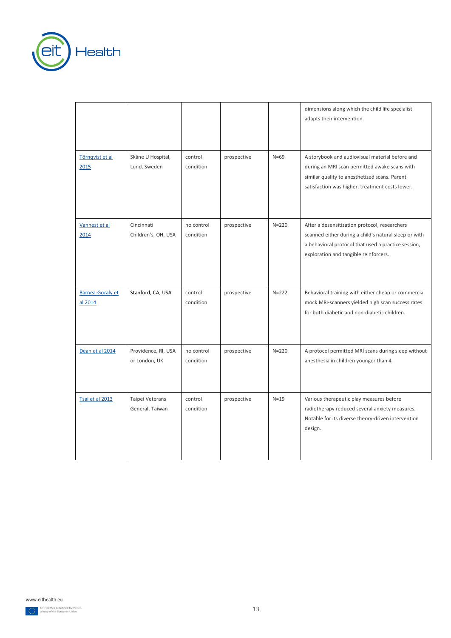

r

|                                    |                                      |                         |             |           | dimensions along which the child life specialist<br>adapts their intervention.                                                                                                                         |
|------------------------------------|--------------------------------------|-------------------------|-------------|-----------|--------------------------------------------------------------------------------------------------------------------------------------------------------------------------------------------------------|
| Törngvist et al<br>2015            | Skåne U Hospital,<br>Lund, Sweden    | control<br>condition    | prospective | $N=69$    | A storybook and audiovisual material before and<br>during an MRI scan permitted awake scans with<br>similar quality to anesthetized scans. Parent<br>satisfaction was higher, treatment costs lower.   |
| Vannest et al<br>2014              | Cincinnati<br>Children's, OH, USA    | no control<br>condition | prospective | $N = 220$ | After a desensitization protocol, researchers<br>scanned either during a child's natural sleep or with<br>a behavioral protocol that used a practice session,<br>exploration and tangible reinforcers. |
| <b>Barnea-Goraly et</b><br>al 2014 | Stanford, CA, USA                    | control<br>condition    | prospective | $N = 222$ | Behavioral training with either cheap or commercial<br>mock MRI-scanners yielded high scan success rates<br>for both diabetic and non-diabetic children.                                               |
| Dean et al 2014                    | Providence, RI, USA<br>or London, UK | no control<br>condition | prospective | $N = 220$ | A protocol permitted MRI scans during sleep without<br>anesthesia in children younger than 4.                                                                                                          |
| Tsai et al 2013                    | Taipei Veterans<br>General, Taiwan   | control<br>condition    | prospective | $N=19$    | Various therapeutic play measures before<br>radiotherapy reduced several anxiety measures.<br>Notable for its diverse theory-driven intervention<br>design.                                            |

<span id="page-13-0"></span>www.eithealth.eu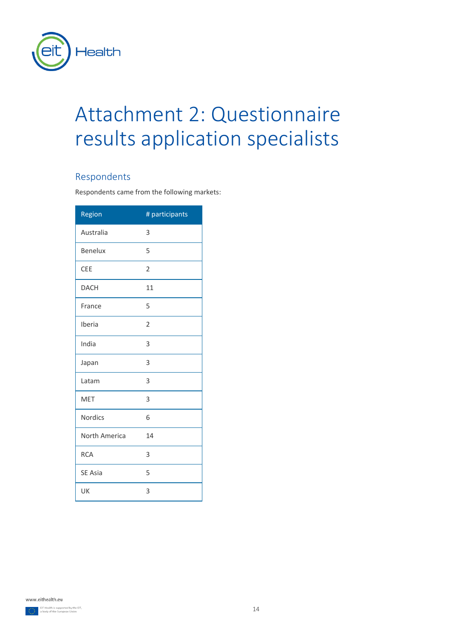

# Attachment 2: Questionnaire results application specialists

## <span id="page-14-0"></span>Respondents

Respondents came from the following markets:

| Region         | # participants |
|----------------|----------------|
| Australia      | 3              |
| <b>Benelux</b> | 5              |
| <b>CEE</b>     | $\overline{2}$ |
| <b>DACH</b>    | 11             |
| France         | 5              |
| Iberia         | $\overline{2}$ |
| India          | 3              |
| Japan          | 3              |
| Latam          | 3              |
| <b>MET</b>     | 3              |
| <b>Nordics</b> | 6              |
| North America  | 14             |
| <b>RCA</b>     | 3              |
| SE Asia        | 5              |
| UK             | 3              |

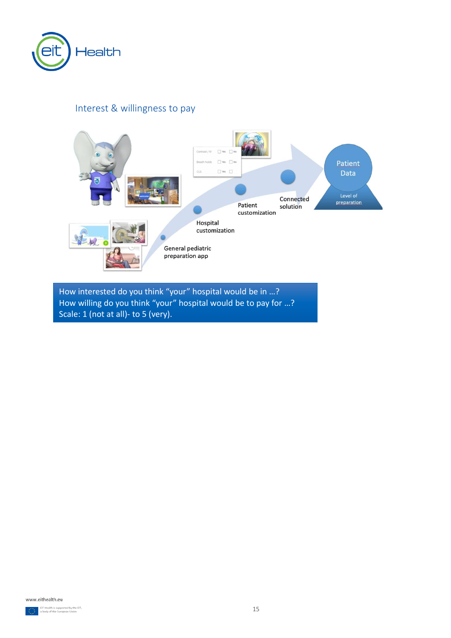

## <span id="page-15-0"></span>Interest & willingness to pay



How interested do you think "your" hospital would be in …? How willing do you think "your" hospital would be to pay for …? Scale: 1 (not at all)- to 5 (very).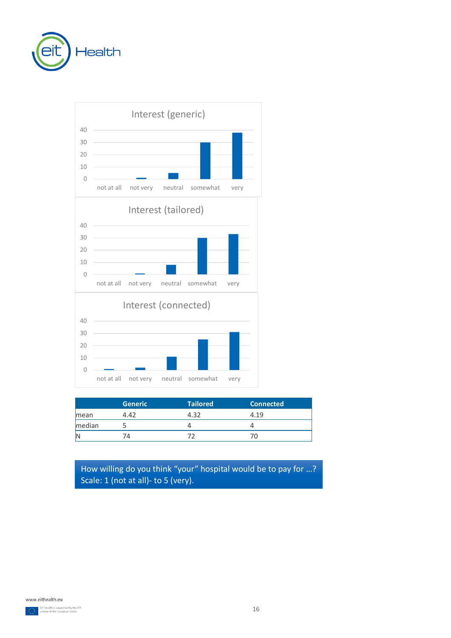



|        | <b>Generic</b> | <b>Tailored</b> | <b>Connected</b> |
|--------|----------------|-----------------|------------------|
| mean   | 4.42           | 4.32            | 4.19             |
| median |                |                 |                  |
|        |                |                 |                  |

How willing do you think "your" hospital would be to pay for …? Scale: 1 (not at all)- to 5 (very).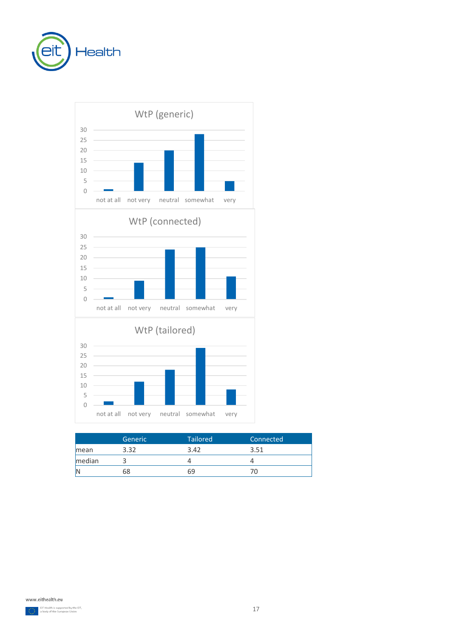



|        | <b>Generic</b> | <b>Tailored</b> | Connected |
|--------|----------------|-----------------|-----------|
| mean   | 3.32           | 3.42            | 3.51      |
| median |                |                 |           |
|        | 58             | 69              |           |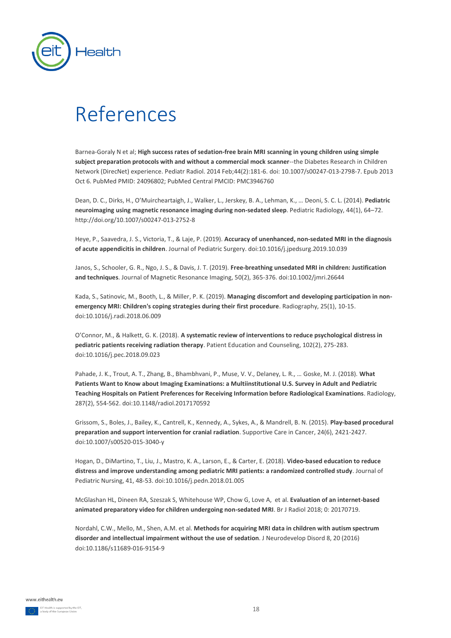

## <span id="page-18-0"></span>References

Barnea-Goraly N et al; **High success rates of sedation-free brain MRI scanning in young children using simple subject preparation protocols with and without a commercial mock scanner**--the Diabetes Research in Children Network (DirecNet) experience. Pediatr Radiol. 2014 Feb;44(2):181-6. doi: 10.1007/s00247-013-2798-7. Epub 2013 Oct 6. PubMed PMID: 24096802; PubMed Central PMCID: PMC3946760

Dean, D. C., Dirks, H., O'Muircheartaigh, J., Walker, L., Jerskey, B. A., Lehman, K., … Deoni, S. C. L. (2014). **Pediatric neuroimaging using magnetic resonance imaging during non-sedated sleep**. Pediatric Radiology, 44(1), 64–72. http://doi.org/10.1007/s00247-013-2752-8

Heye, P., Saavedra, J. S., Victoria, T., & Laje, P. (2019). **Accuracy of unenhanced, non-sedated MRI in the diagnosis of acute appendicitis in children**. Journal of Pediatric Surgery. doi:10.1016/j.jpedsurg.2019.10.039

Janos, S., Schooler, G. R., Ngo, J. S., & Davis, J. T. (2019). **Free-breathing unsedated MRI in children: Justification and techniques**. Journal of Magnetic Resonance Imaging, 50(2), 365-376. doi:10.1002/jmri.26644

Kada, S., Satinovic, M., Booth, L., & Miller, P. K. (2019). **Managing discomfort and developing participation in nonemergency MRI: Children's coping strategies during their first procedure**. Radiography, 25(1), 10-15. doi:10.1016/j.radi.2018.06.009

O'Connor, M., & Halkett, G. K. (2018). **A systematic review of interventions to reduce psychological distress in pediatric patients receiving radiation therapy**. Patient Education and Counseling, 102(2), 275-283. doi:10.1016/j.pec.2018.09.023

Pahade, J. K., Trout, A. T., Zhang, B., Bhambhvani, P., Muse, V. V., Delaney, L. R., … Goske, M. J. (2018). **What Patients Want to Know about Imaging Examinations: a Multiinstitutional U.S. Survey in Adult and Pediatric Teaching Hospitals on Patient Preferences for Receiving Information before Radiological Examinations**. Radiology, 287(2), 554-562. doi:10.1148/radiol.2017170592

Grissom, S., Boles, J., Bailey, K., Cantrell, K., Kennedy, A., Sykes, A., & Mandrell, B. N. (2015). **Play-based procedural preparation and support intervention for cranial radiation**. Supportive Care in Cancer, 24(6), 2421-2427. doi:10.1007/s00520-015-3040-y

Hogan, D., DiMartino, T., Liu, J., Mastro, K. A., Larson, E., & Carter, E. (2018). **Video-based education to reduce distress and improve understanding among pediatric MRI patients: a randomized controlled study**. Journal of Pediatric Nursing, 41, 48-53. doi:10.1016/j.pedn.2018.01.005

McGlashan HL, Dineen RA, Szeszak S, Whitehouse WP, Chow G, Love A, et al. **Evaluation of an internet-based animated preparatory video for children undergoing non-sedated MRI**. Br J Radiol 2018; 0: 20170719.

Nordahl, C.W., Mello, M., Shen, A.M. et al. **Methods for acquiring MRI data in children with autism spectrum disorder and intellectual impairment without the use of sedation**. J Neurodevelop Disord 8, 20 (2016) doi:10.1186/s11689-016-9154-9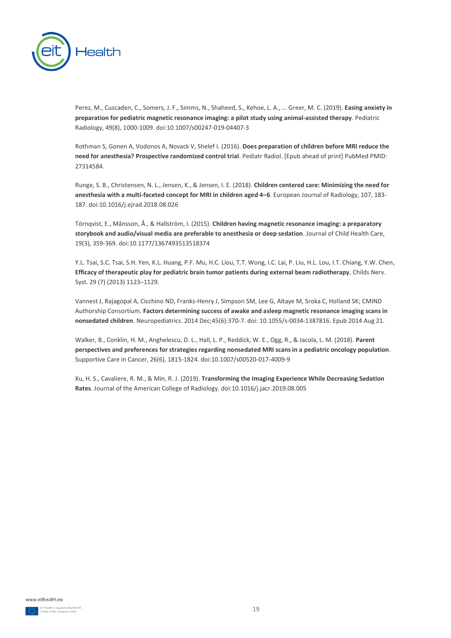

Perez, M., Cuscaden, C., Somers, J. F., Simms, N., Shaheed, S., Kehoe, L. A., … Greer, M. C. (2019). **Easing anxiety in preparation for pediatric magnetic resonance imaging: a pilot study using animal-assisted therapy**. Pediatric Radiology, 49(8), 1000-1009. doi:10.1007/s00247-019-04407-3

Rothman S, Gonen A, Vodonos A, Novack V, Shelef I. (2016). **Does preparation of children before MRI reduce the need for anesthesia? Prospective randomized control trial**. Pediatr Radiol. [Epub ahead of print] PubMed PMID: 27314584.

Runge, S. B., Christensen, N. L., Jensen, K., & Jensen, I. E. (2018). **Children centered care: Minimizing the need for anesthesia with a multi-faceted concept for MRI in children aged 4–6**. European Journal of Radiology, 107, 183- 187. doi:10.1016/j.ejrad.2018.08.026

Törnqvist, E., Månsson, Å., & Hallström, I. (2015). **Children having magnetic resonance imaging: a preparatory storybook and audio/visual media are preferable to anesthesia or deep sedation**. Journal of Child Health Care, 19(3), 359-369. doi:10.1177/1367493513518374

Y.L. Tsai, S.C. Tsai, S.H. Yen, K.L. Huang, P.F. Mu, H.C. Liou, T.T. Wong, I.C. Lai, P. Liu, H.L. Lou, I.T. Chiang, Y.W. Chen, **Efficacy of therapeutic play for pediatric brain tumor patients during external beam radiotherapy**, Childs Nerv. Syst. 29 (7) (2013) 1123–1129.

Vannest J, Rajagopal A, Cicchino ND, Franks-Henry J, Simpson SM, Lee G, Altaye M, Sroka C, Holland SK; CMIND Authorship Consortium. **Factors determining success of awake and asleep magnetic resonance imaging scans in nonsedated children**. Neuropediatrics. 2014 Dec;45(6):370-7. doi: 10.1055/s-0034-1387816. Epub 2014 Aug 21.

Walker, B., Conklin, H. M., Anghelescu, D. L., Hall, L. P., Reddick, W. E., Ogg, R., & Jacola, L. M. (2018). **Parent perspectives and preferences for strategies regarding nonsedated MRI scans in a pediatric oncology population**. Supportive Care in Cancer, 26(6), 1815-1824. doi:10.1007/s00520-017-4009-9

Xu, H. S., Cavaliere, R. M., & Min, R. J. (2019). **Transforming the Imaging Experience While Decreasing Sedation Rates**. Journal of the American College of Radiology. doi:10.1016/j.jacr.2019.08.005